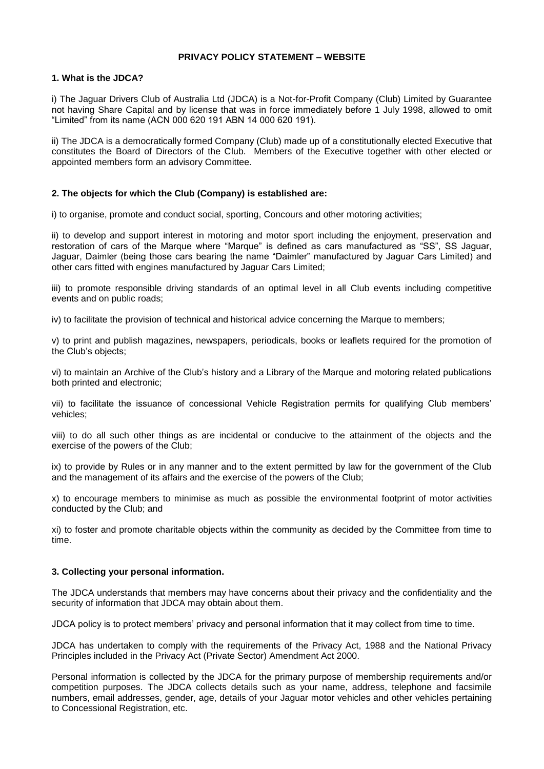## **PRIVACY POLICY STATEMENT – WEBSITE**

# **1. What is the JDCA?**

i) The Jaguar Drivers Club of Australia Ltd (JDCA) is a Not-for-Profit Company (Club) Limited by Guarantee not having Share Capital and by license that was in force immediately before 1 July 1998, allowed to omit "Limited" from its name (ACN 000 620 191 ABN 14 000 620 191).

ii) The JDCA is a democratically formed Company (Club) made up of a constitutionally elected Executive that constitutes the Board of Directors of the Club. Members of the Executive together with other elected or appointed members form an advisory Committee.

## **2. The objects for which the Club (Company) is established are:**

i) to organise, promote and conduct social, sporting, Concours and other motoring activities;

ii) to develop and support interest in motoring and motor sport including the enjoyment, preservation and restoration of cars of the Marque where "Marque" is defined as cars manufactured as "SS", SS Jaguar, Jaguar, Daimler (being those cars bearing the name "Daimler" manufactured by Jaguar Cars Limited) and other cars fitted with engines manufactured by Jaguar Cars Limited;

iii) to promote responsible driving standards of an optimal level in all Club events including competitive events and on public roads;

iv) to facilitate the provision of technical and historical advice concerning the Marque to members;

v) to print and publish magazines, newspapers, periodicals, books or leaflets required for the promotion of the Club's objects;

vi) to maintain an Archive of the Club's history and a Library of the Marque and motoring related publications both printed and electronic;

vii) to facilitate the issuance of concessional Vehicle Registration permits for qualifying Club members' vehicles;

viii) to do all such other things as are incidental or conducive to the attainment of the objects and the exercise of the powers of the Club;

ix) to provide by Rules or in any manner and to the extent permitted by law for the government of the Club and the management of its affairs and the exercise of the powers of the Club;

x) to encourage members to minimise as much as possible the environmental footprint of motor activities conducted by the Club; and

xi) to foster and promote charitable objects within the community as decided by the Committee from time to time.

#### **3. Collecting your personal information.**

The JDCA understands that members may have concerns about their privacy and the confidentiality and the security of information that JDCA may obtain about them.

JDCA policy is to protect members' privacy and personal information that it may collect from time to time.

JDCA has undertaken to comply with the requirements of the Privacy Act, 1988 and the National Privacy Principles included in the Privacy Act (Private Sector) Amendment Act 2000.

Personal information is collected by the JDCA for the primary purpose of membership requirements and/or competition purposes. The JDCA collects details such as your name, address, telephone and facsimile numbers, email addresses, gender, age, details of your Jaguar motor vehicles and other vehicles pertaining to Concessional Registration, etc.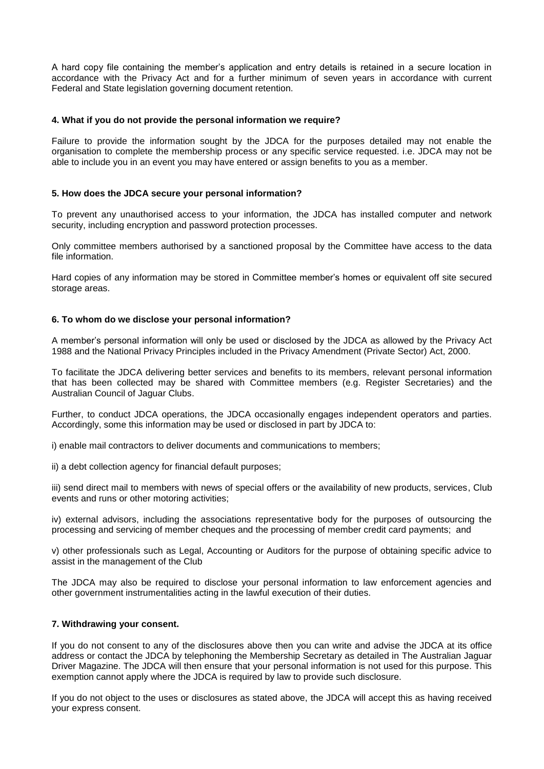A hard copy file containing the member's application and entry details is retained in a secure location in accordance with the Privacy Act and for a further minimum of seven years in accordance with current Federal and State legislation governing document retention.

#### **4. What if you do not provide the personal information we require?**

Failure to provide the information sought by the JDCA for the purposes detailed may not enable the organisation to complete the membership process or any specific service requested. i.e. JDCA may not be able to include you in an event you may have entered or assign benefits to you as a member.

## **5. How does the JDCA secure your personal information?**

To prevent any unauthorised access to your information, the JDCA has installed computer and network security, including encryption and password protection processes.

Only committee members authorised by a sanctioned proposal by the Committee have access to the data file information.

Hard copies of any information may be stored in Committee member's homes or equivalent off site secured storage areas.

## **6. To whom do we disclose your personal information?**

A member's personal information will only be used or disclosed by the JDCA as allowed by the Privacy Act 1988 and the National Privacy Principles included in the Privacy Amendment (Private Sector) Act, 2000.

To facilitate the JDCA delivering better services and benefits to its members, relevant personal information that has been collected may be shared with Committee members (e.g. Register Secretaries) and the Australian Council of Jaguar Clubs.

Further, to conduct JDCA operations, the JDCA occasionally engages independent operators and parties. Accordingly, some this information may be used or disclosed in part by JDCA to:

i) enable mail contractors to deliver documents and communications to members;

ii) a debt collection agency for financial default purposes;

iii) send direct mail to members with news of special offers or the availability of new products, services, Club events and runs or other motoring activities;

iv) external advisors, including the associations representative body for the purposes of outsourcing the processing and servicing of member cheques and the processing of member credit card payments; and

v) other professionals such as Legal, Accounting or Auditors for the purpose of obtaining specific advice to assist in the management of the Club

The JDCA may also be required to disclose your personal information to law enforcement agencies and other government instrumentalities acting in the lawful execution of their duties.

#### **7. Withdrawing your consent.**

If you do not consent to any of the disclosures above then you can write and advise the JDCA at its office address or contact the JDCA by telephoning the Membership Secretary as detailed in The Australian Jaguar Driver Magazine. The JDCA will then ensure that your personal information is not used for this purpose. This exemption cannot apply where the JDCA is required by law to provide such disclosure.

If you do not object to the uses or disclosures as stated above, the JDCA will accept this as having received your express consent.